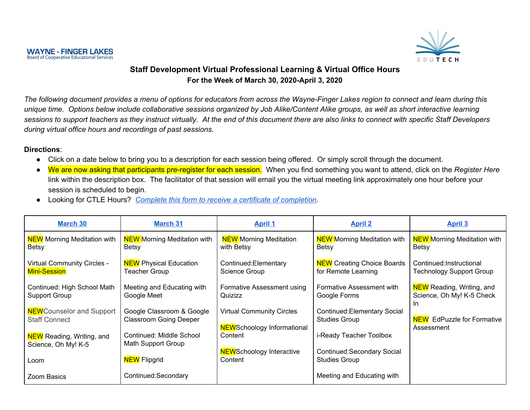

#### **Staff Development Virtual Professional Learning & Virtual Office Hours For the Week of March 30, 2020-April 3, 2020**

The following document provides a menu of options for educators from across the Wayne-Finger Lakes region to connect and learn during this unique time. Options below include collaborative sessions organized by Job Alike/Content Alike groups, as well as short interactive learning sessions to support teachers as they instruct virtually. At the end of this document there are also links to connect with specific Staff Developers *during virtual office hours and recordings of past sessions.*

#### **Directions**:

- Click on a date below to bring you to a description for each session being offered. Or simply scroll through the document.
- We are now asking that participants pre-register for each session. When you find something you want to attend, click on the *Register Here* link within the description box. The facilitator of that session will email you the virtual meeting link approximately one hour before your session is scheduled to begin.
- Looking for CTLE Hours? *Complete this form to receive a certificate of [completion](https://docs.google.com/forms/d/e/1FAIpQLSdNyi6cuj7PP48e5Ri1bDlqeXU4BKauHkRRHHBcm7P4E6fvMA/viewform?usp=sf_link).*

| <b>March 30</b>                                          | <b>March 31</b>                                            | <u>April 1</u>                                                         | <b>April 2</b>                                             | <b>April 3</b>                                                      |
|----------------------------------------------------------|------------------------------------------------------------|------------------------------------------------------------------------|------------------------------------------------------------|---------------------------------------------------------------------|
| <b>NEW</b> Morning Meditation with<br>Betsy              | <b>NEW</b> Morning Meditation with<br>Betsy                | <b>NEW</b> Morning Meditation<br>with Betsy                            | <b>NEW</b> Morning Meditation with<br>Betsy                | <b>NEW</b> Morning Meditation with<br><b>Betsy</b>                  |
| Virtual Community Circles -<br><b>Mini-Session</b>       | <b>NEW</b> Physical Education<br>Teacher Group             | Continued: Elementary<br>Science Group                                 | <b>NEW</b> Creating Choice Boards<br>for Remote Learning   | Continued: Instructional<br>Technology Support Group                |
| Continued: High School Math<br><b>Support Group</b>      | Meeting and Educating with<br>Google Meet                  | Formative Assessment using<br>Quizizz                                  | Formative Assessment with<br>Google Forms                  | <b>NEW</b> Reading, Writing, and<br>Science, Oh My! K-5 Check<br>In |
| <b>NEW</b> Counselor and Support<br><b>Staff Connect</b> | Google Classroom & Google<br><b>Classroom Going Deeper</b> | <b>Virtual Community Circles</b><br><b>NEW</b> Schoology Informational | <b>Continued:Elementary Social</b><br><b>Studies Group</b> | <b>NEW</b> EdPuzzle for Formative<br>Assessment                     |
| <b>NEW</b> Reading, Writing, and<br>Science, Oh My! K-5  | Continued: Middle School<br>Math Support Group             | Content                                                                | i-Ready Teacher Toolbox                                    |                                                                     |
| Loom                                                     | <b>NEW</b> Flipgrid                                        | <b>NEW</b> Schoology Interactive<br>Content                            | Continued:Secondary Social<br><b>Studies Group</b>         |                                                                     |
| <b>Zoom Basics</b>                                       | Continued:Secondary                                        |                                                                        | Meeting and Educating with                                 |                                                                     |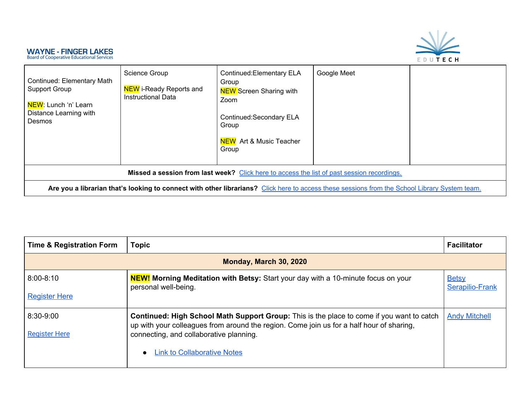# EDUTECH

| Continued: Elementary Math<br>Support Group<br>NEW: Lunch 'n' Learn<br>Distance Learning with<br>Desmos                                       | Science Group<br><b>NEW</b> i-Ready Reports and<br><b>Instructional Data</b> | Continued: Elementary ELA<br>Group<br><b>NEW Screen Sharing with</b><br>Zoom<br>Continued: Secondary ELA<br>Group<br><b>NEW</b> Art & Music Teacher<br>Group | Google Meet |  |
|-----------------------------------------------------------------------------------------------------------------------------------------------|------------------------------------------------------------------------------|--------------------------------------------------------------------------------------------------------------------------------------------------------------|-------------|--|
|                                                                                                                                               |                                                                              | Missed a session from last week? Click here to access the list of past session recordings.                                                                   |             |  |
| Are you a librarian that's looking to connect with other librarians? Click here to access these sessions from the School Library System team. |                                                                              |                                                                                                                                                              |             |  |

<span id="page-1-0"></span>

| <b>Time &amp; Registration Form</b> | <b>Topic</b>                                                                                                                                                                          | <b>Facilitator</b>              |
|-------------------------------------|---------------------------------------------------------------------------------------------------------------------------------------------------------------------------------------|---------------------------------|
|                                     | Monday, March 30, 2020                                                                                                                                                                |                                 |
| $8:00 - 8:10$                       | <b>NEW!</b> Morning Meditation with Betsy: Start your day with a 10-minute focus on your<br>personal well-being.                                                                      | <b>Betsy</b><br>Serapilio-Frank |
| <b>Register Here</b>                |                                                                                                                                                                                       |                                 |
| 8:30-9:00                           | Continued: High School Math Support Group: This is the place to come if you want to catch<br>up with your colleagues from around the region. Come join us for a half hour of sharing, | <b>Andy Mitchell</b>            |
| <b>Register Here</b>                | connecting, and collaborative planning.                                                                                                                                               |                                 |
|                                     | <b>Link to Collaborative Notes</b>                                                                                                                                                    |                                 |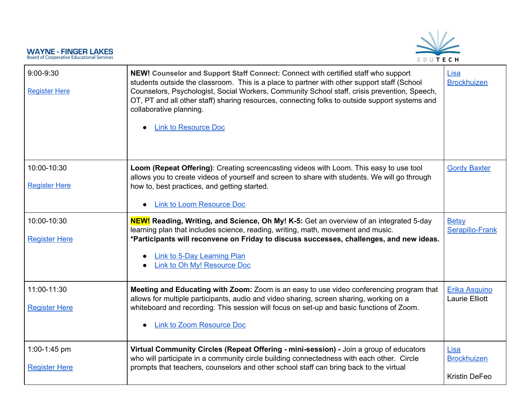

| 9:00-9:30<br><b>Register Here</b>    | NEW! Counselor and Support Staff Connect: Connect with certified staff who support<br>students outside the classroom. This is a place to partner with other support staff (School<br>Counselors, Psychologist, Social Workers, Community School staff, crisis prevention, Speech,<br>OT, PT and all other staff) sharing resources, connecting folks to outside support systems and<br>collaborative planning.<br><b>Link to Resource Doc</b><br>$\bullet$ | Lisa<br><b>Brockhuizen</b>             |
|--------------------------------------|------------------------------------------------------------------------------------------------------------------------------------------------------------------------------------------------------------------------------------------------------------------------------------------------------------------------------------------------------------------------------------------------------------------------------------------------------------|----------------------------------------|
| 10:00-10:30<br><b>Register Here</b>  | Loom (Repeat Offering): Creating screencasting videos with Loom. This easy to use tool<br>allows you to create videos of yourself and screen to share with students. We will go through<br>how to, best practices, and getting started.                                                                                                                                                                                                                    | <b>Gordy Baxter</b>                    |
|                                      | <b>Link to Loom Resource Doc</b><br>$\bullet$                                                                                                                                                                                                                                                                                                                                                                                                              |                                        |
| 10:00-10:30<br><b>Register Here</b>  | <b>NEW!</b> Reading, Writing, and Science, Oh My! K-5: Get an overview of an integrated 5-day<br>learning plan that includes science, reading, writing, math, movement and music.<br>*Participants will reconvene on Friday to discuss successes, challenges, and new ideas.                                                                                                                                                                               | <b>Betsy</b><br>Serapilio-Frank        |
|                                      | <b>Link to 5-Day Learning Plan</b><br>Link to Oh My! Resource Doc                                                                                                                                                                                                                                                                                                                                                                                          |                                        |
| 11:00-11:30<br><b>Register Here</b>  | <b>Meeting and Educating with Zoom:</b> Zoom is an easy to use video conferencing program that<br>allows for multiple participants, audio and video sharing, screen sharing, working on a<br>whiteboard and recording. This session will focus on set-up and basic functions of Zoom.<br>Link to Zoom Resource Doc                                                                                                                                         | Erika Asquino<br><b>Laurie Elliott</b> |
|                                      | $\bullet$                                                                                                                                                                                                                                                                                                                                                                                                                                                  |                                        |
| 1:00-1:45 pm<br><b>Register Here</b> | Virtual Community Circles (Repeat Offering - mini-session) - Join a group of educators<br>who will participate in a community circle building connectedness with each other. Circle<br>prompts that teachers, counselors and other school staff can bring back to the virtual                                                                                                                                                                              | Lisa<br><b>Brockhuizen</b>             |
|                                      |                                                                                                                                                                                                                                                                                                                                                                                                                                                            | <b>Kristin DeFeo</b>                   |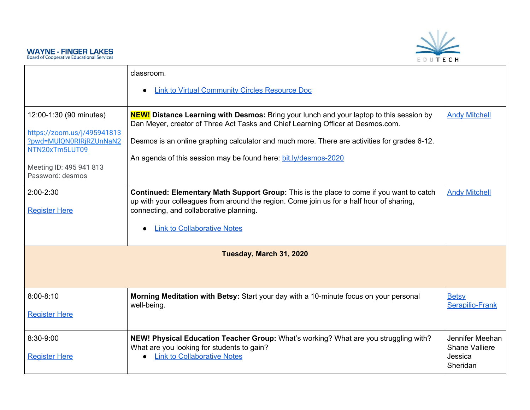

<span id="page-3-0"></span>

|                                                                                   | classroom.                                                                                                                                                                           |                                          |
|-----------------------------------------------------------------------------------|--------------------------------------------------------------------------------------------------------------------------------------------------------------------------------------|------------------------------------------|
|                                                                                   | <b>Link to Virtual Community Circles Resource Doc</b><br>$\bullet$                                                                                                                   |                                          |
| 12:00-1:30 (90 minutes)<br>https://zoom.us/j/495941813<br>?pwd=MUIQN0RIRjRZUnNaN2 | <b>NEW!</b> Distance Learning with Desmos: Bring your lunch and your laptop to this session by<br>Dan Meyer, creator of Three Act Tasks and Chief Learning Officer at Desmos.com.    | <b>Andy Mitchell</b>                     |
| NTN20xTm5LUT09                                                                    | Desmos is an online graphing calculator and much more. There are activities for grades 6-12.<br>An agenda of this session may be found here: bit.ly/desmos-2020                      |                                          |
| Meeting ID: 495 941 813<br>Password: desmos                                       |                                                                                                                                                                                      |                                          |
| $2:00-2:30$                                                                       | Continued: Elementary Math Support Group: This is the place to come if you want to catch<br>up with your colleagues from around the region. Come join us for a half hour of sharing, | <b>Andy Mitchell</b>                     |
| <b>Register Here</b>                                                              | connecting, and collaborative planning.                                                                                                                                              |                                          |
|                                                                                   | <b>Link to Collaborative Notes</b>                                                                                                                                                   |                                          |
|                                                                                   | Tuesday, March 31, 2020                                                                                                                                                              |                                          |
|                                                                                   |                                                                                                                                                                                      |                                          |
| $8:00 - 8:10$                                                                     | Morning Meditation with Betsy: Start your day with a 10-minute focus on your personal<br>well-being.                                                                                 | <b>Betsy</b><br><b>Serapilio-Frank</b>   |
| <b>Register Here</b>                                                              |                                                                                                                                                                                      |                                          |
| 8:30-9:00                                                                         | NEW! Physical Education Teacher Group: What's working? What are you struggling with?<br>What are you looking for students to gain?                                                   | Jennifer Meehan<br><b>Shane Valliere</b> |
| <b>Register Here</b>                                                              | <b>Link to Collaborative Notes</b>                                                                                                                                                   | Jessica<br>Sheridan                      |
|                                                                                   |                                                                                                                                                                                      |                                          |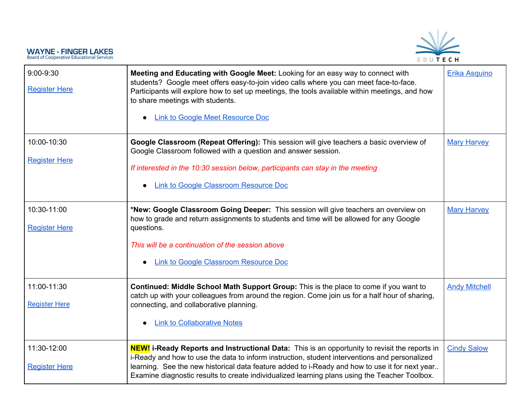

| $9:00-9:30$<br><b>Register Here</b> | Meeting and Educating with Google Meet: Looking for an easy way to connect with<br>students? Google meet offers easy-to-join video calls where you can meet face-to-face.<br>Participants will explore how to set up meetings, the tools available within meetings, and how<br>to share meetings with students.<br><b>Link to Google Meet Resource Doc</b><br>$\bullet$                                  | Erika Asquino        |
|-------------------------------------|----------------------------------------------------------------------------------------------------------------------------------------------------------------------------------------------------------------------------------------------------------------------------------------------------------------------------------------------------------------------------------------------------------|----------------------|
| 10:00-10:30<br><b>Register Here</b> | Google Classroom (Repeat Offering): This session will give teachers a basic overview of<br>Google Classroom followed with a question and answer session.<br>If interested in the 10:30 session below, participants can stay in the meeting<br><b>Link to Google Classroom Resource Doc</b><br>$\bullet$                                                                                                  | <b>Mary Harvey</b>   |
| 10:30-11:00<br><b>Register Here</b> | *New: Google Classroom Going Deeper: This session will give teachers an overview on<br>how to grade and return assignments to students and time will be allowed for any Google<br>questions.<br>This will be a continuation of the session above<br><b>Link to Google Classroom Resource Doc</b><br>$\bullet$                                                                                            | <b>Mary Harvey</b>   |
| 11:00-11:30<br><b>Register Here</b> | Continued: Middle School Math Support Group: This is the place to come if you want to<br>catch up with your colleagues from around the region. Come join us for a half hour of sharing,<br>connecting, and collaborative planning.<br><b>Link to Collaborative Notes</b><br>$\bullet$                                                                                                                    | <b>Andy Mitchell</b> |
| 11:30-12:00<br><b>Register Here</b> | <b>NEW!</b> i-Ready Reports and Instructional Data: This is an opportunity to revisit the reports in<br>i-Ready and how to use the data to inform instruction, student interventions and personalized<br>learning. See the new historical data feature added to i-Ready and how to use it for next year<br>Examine diagnostic results to create individualized learning plans using the Teacher Toolbox. | <b>Cindy Salow</b>   |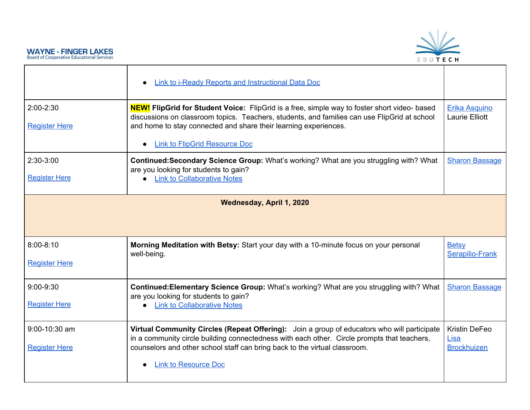



<span id="page-5-0"></span>

|                                       | Link to i-Ready Reports and Instructional Data Doc                                                                                                                                                                                                                      |                                        |
|---------------------------------------|-------------------------------------------------------------------------------------------------------------------------------------------------------------------------------------------------------------------------------------------------------------------------|----------------------------------------|
| $2:00 - 2:30$<br><b>Register Here</b> | <b>NEW!</b> FlipGrid for Student Voice: FlipGrid is a free, simple way to foster short video- based<br>discussions on classroom topics. Teachers, students, and families can use FlipGrid at school<br>and home to stay connected and share their learning experiences. | Erika Asquino<br><b>Laurie Elliott</b> |
|                                       | <b>Link to FlipGrid Resource Doc</b><br>$\bullet$                                                                                                                                                                                                                       |                                        |
| 2:30-3:00<br><b>Register Here</b>     | Continued: Secondary Science Group: What's working? What are you struggling with? What<br>are you looking for students to gain?<br>• Link to Collaborative Notes                                                                                                        | <b>Sharon Bassage</b>                  |
|                                       | Wednesday, April 1, 2020                                                                                                                                                                                                                                                |                                        |
| $8:00 - 8:10$<br><b>Register Here</b> | Morning Meditation with Betsy: Start your day with a 10-minute focus on your personal<br>well-being.                                                                                                                                                                    | <b>Betsy</b><br><b>Serapilio-Frank</b> |
| $9:00 - 9:30$<br><b>Register Here</b> | Continued: Elementary Science Group: What's working? What are you struggling with? What<br>are you looking for students to gain?<br><b>Link to Collaborative Notes</b>                                                                                                  | <b>Sharon Bassage</b>                  |
| 9:00-10:30 am                         | Virtual Community Circles (Repeat Offering): Join a group of educators who will participate<br>in a community circle building connectedness with each other. Circle prompts that teachers,                                                                              | Kristin DeFeo                          |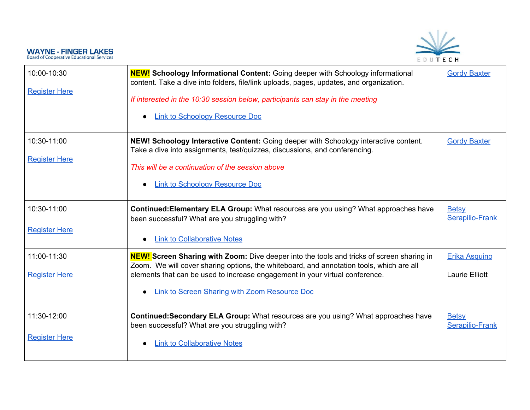

| 10:00-10:30          | <b>NEW!</b> Schoology Informational Content: Going deeper with Schoology informational<br>content. Take a dive into folders, file/link uploads, pages, updates, and organization.            | <b>Gordy Baxter</b>                    |
|----------------------|----------------------------------------------------------------------------------------------------------------------------------------------------------------------------------------------|----------------------------------------|
| <b>Register Here</b> | If interested in the 10:30 session below, participants can stay in the meeting                                                                                                               |                                        |
|                      | <b>Link to Schoology Resource Doc</b>                                                                                                                                                        |                                        |
| 10:30-11:00          | NEW! Schoology Interactive Content: Going deeper with Schoology interactive content.<br>Take a dive into assignments, test/quizzes, discussions, and conferencing.                           | <b>Gordy Baxter</b>                    |
| <b>Register Here</b> | This will be a continuation of the session above                                                                                                                                             |                                        |
|                      | <b>Link to Schoology Resource Doc</b>                                                                                                                                                        |                                        |
| 10:30-11:00          | Continued: Elementary ELA Group: What resources are you using? What approaches have<br>been successful? What are you struggling with?                                                        | <b>Betsy</b><br>Serapilio-Frank        |
| <b>Register Here</b> | <b>Link to Collaborative Notes</b>                                                                                                                                                           |                                        |
| 11:00-11:30          | <b>NEW!</b> Screen Sharing with Zoom: Dive deeper into the tools and tricks of screen sharing in<br>Zoom. We will cover sharing options, the whiteboard, and annotation tools, which are all | Erika Asquino                          |
| <b>Register Here</b> | elements that can be used to increase engagement in your virtual conference.                                                                                                                 | Laurie Elliott                         |
|                      | <b>Link to Screen Sharing with Zoom Resource Doc</b>                                                                                                                                         |                                        |
| 11:30-12:00          | Continued: Secondary ELA Group: What resources are you using? What approaches have<br>been successful? What are you struggling with?                                                         | <b>Betsy</b><br><b>Serapilio-Frank</b> |
| <b>Register Here</b> | <b>Link to Collaborative Notes</b>                                                                                                                                                           |                                        |
|                      |                                                                                                                                                                                              |                                        |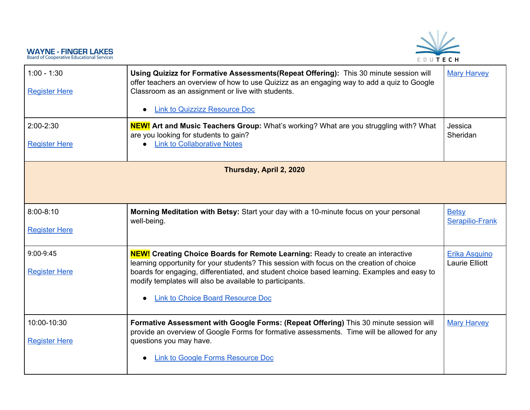

<span id="page-7-0"></span>

| $1:00 - 1:30$<br><b>Register Here</b> | Using Quizizz for Formative Assessments (Repeat Offering): This 30 minute session will<br>offer teachers an overview of how to use Quizizz as an engaging way to add a quiz to Google<br>Classroom as an assignment or live with students.<br><b>Link to Quizzizz Resource Doc</b><br>$\bullet$                                                                                      | <b>Mary Harvey</b>                     |
|---------------------------------------|--------------------------------------------------------------------------------------------------------------------------------------------------------------------------------------------------------------------------------------------------------------------------------------------------------------------------------------------------------------------------------------|----------------------------------------|
| $2:00 - 2:30$<br><b>Register Here</b> | <b>NEW!</b> Art and Music Teachers Group: What's working? What are you struggling with? What<br>are you looking for students to gain?<br>• Link to Collaborative Notes                                                                                                                                                                                                               | Jessica<br>Sheridan                    |
|                                       | Thursday, April 2, 2020                                                                                                                                                                                                                                                                                                                                                              |                                        |
| $8:00 - 8:10$<br><b>Register Here</b> | Morning Meditation with Betsy: Start your day with a 10-minute focus on your personal<br>well-being.                                                                                                                                                                                                                                                                                 | <b>Betsy</b><br><b>Serapilio-Frank</b> |
| 9:00-9:45<br><b>Register Here</b>     | <b>NEW!</b> Creating Choice Boards for Remote Learning: Ready to create an interactive<br>learning opportunity for your students? This session with focus on the creation of choice<br>boards for engaging, differentiated, and student choice based learning. Examples and easy to<br>modify templates will also be available to participants.<br>Link to Choice Board Resource Doc | Erika Asquino<br><b>Laurie Elliott</b> |
| 10:00-10:30<br><b>Register Here</b>   | Formative Assessment with Google Forms: (Repeat Offering) This 30 minute session will<br>provide an overview of Google Forms for formative assessments. Time will be allowed for any<br>questions you may have.<br>Link to Google Forms Resource Doc                                                                                                                                 | <b>Mary Harvey</b>                     |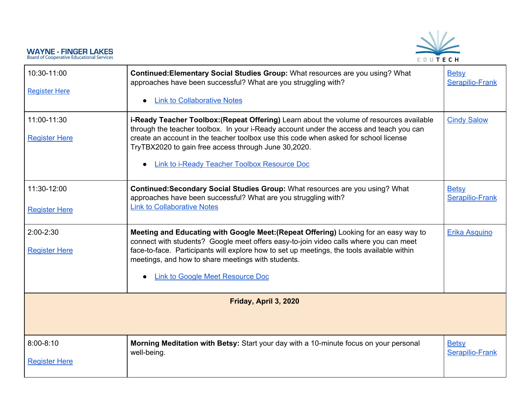# EDUTECH

<span id="page-8-0"></span>

| 10:30-11:00<br><b>Register Here</b>   | Continued: Elementary Social Studies Group: What resources are you using? What<br>approaches have been successful? What are you struggling with?<br><b>Link to Collaborative Notes</b><br>$\bullet$                                                                                                                                                                                 | <b>Betsy</b><br>Serapilio-Frank |
|---------------------------------------|-------------------------------------------------------------------------------------------------------------------------------------------------------------------------------------------------------------------------------------------------------------------------------------------------------------------------------------------------------------------------------------|---------------------------------|
| 11:00-11:30<br><b>Register Here</b>   | i-Ready Teacher Toolbox: (Repeat Offering) Learn about the volume of resources available<br>through the teacher toolbox. In your i-Ready account under the access and teach you can<br>create an account in the teacher toolbox use this code when asked for school license<br>TryTBX2020 to gain free access through June 30,2020.<br>Link to i-Ready Teacher Toolbox Resource Doc | <b>Cindy Salow</b>              |
| 11:30-12:00<br><b>Register Here</b>   | Continued: Secondary Social Studies Group: What resources are you using? What<br>approaches have been successful? What are you struggling with?<br><b>Link to Collaborative Notes</b>                                                                                                                                                                                               | <b>Betsy</b><br>Serapilio-Frank |
| $2:00 - 2:30$<br><b>Register Here</b> | Meeting and Educating with Google Meet: (Repeat Offering) Looking for an easy way to<br>connect with students? Google meet offers easy-to-join video calls where you can meet<br>face-to-face. Participants will explore how to set up meetings, the tools available within<br>meetings, and how to share meetings with students.<br><b>Link to Google Meet Resource Doc</b>        | Erika Asquino                   |
|                                       | Friday, April 3, 2020                                                                                                                                                                                                                                                                                                                                                               |                                 |
| $8:00 - 8:10$<br><b>Register Here</b> | Morning Meditation with Betsy: Start your day with a 10-minute focus on your personal<br>well-being.                                                                                                                                                                                                                                                                                | <b>Betsy</b><br>Serapilio-Frank |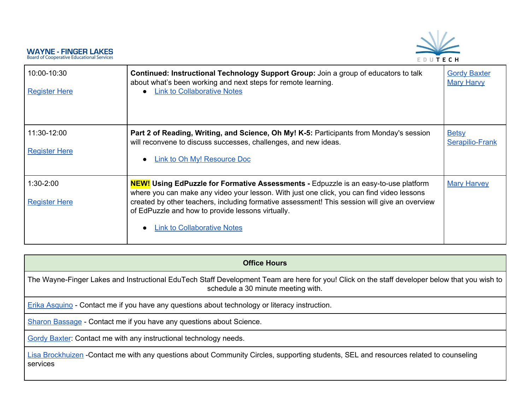# EDUTECH

| 10:00-10:30<br><b>Register Here</b> | <b>Continued: Instructional Technology Support Group:</b> Join a group of educators to talk<br>about what's been working and next steps for remote learning.<br>• Link to Collaborative Notes                                                                                                                                                                                       | <b>Gordy Baxter</b><br><b>Mary Harvy</b> |
|-------------------------------------|-------------------------------------------------------------------------------------------------------------------------------------------------------------------------------------------------------------------------------------------------------------------------------------------------------------------------------------------------------------------------------------|------------------------------------------|
| 11:30-12:00<br><b>Register Here</b> | Part 2 of Reading, Writing, and Science, Oh My! K-5: Participants from Monday's session<br>will reconvene to discuss successes, challenges, and new ideas.<br>Link to Oh My! Resource Doc                                                                                                                                                                                           | <b>Betsy</b><br>Serapilio-Frank          |
| $1:30-2:00$<br><b>Register Here</b> | <b>NEW!</b> Using EdPuzzle for Formative Assessments - Edpuzzle is an easy-to-use platform<br>where you can make any video your lesson. With just one click, you can find video lessons<br>created by other teachers, including formative assessment! This session will give an overview<br>of EdPuzzle and how to provide lessons virtually.<br><b>Link to Collaborative Notes</b> | <b>Mary Harvey</b>                       |

| <b>Office Hours</b>                                                                                                                                                                 |
|-------------------------------------------------------------------------------------------------------------------------------------------------------------------------------------|
| The Wayne-Finger Lakes and Instructional EduTech Staff Development Team are here for you! Click on the staff developer below that you wish to<br>schedule a 30 minute meeting with. |
| <b>Erika Asquino</b> - Contact me if you have any questions about technology or literacy instruction.                                                                               |
| Sharon Bassage - Contact me if you have any questions about Science.                                                                                                                |
| <b>Gordy Baxter: Contact me with any instructional technology needs.</b>                                                                                                            |
| Lisa Brockhuizen -Contact me with any questions about Community Circles, supporting students, SEL and resources related to counseling<br>services                                   |